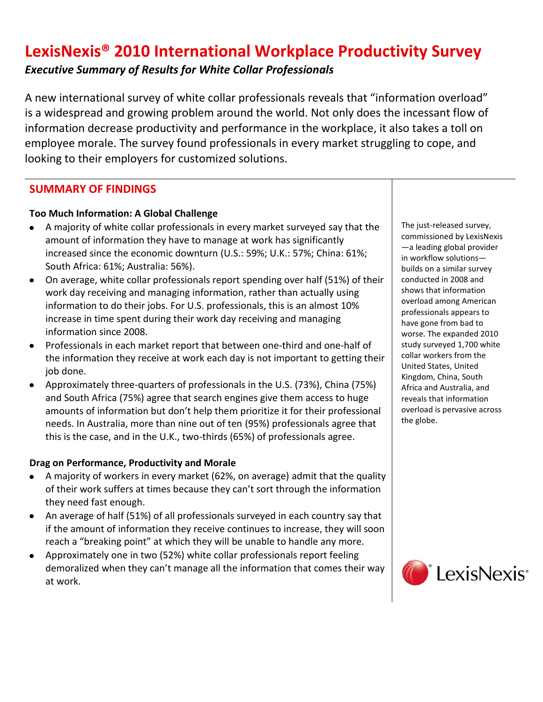# **LexisNexis® 2010 International Workplace Productivity Survey** *Executive Summary of Results for White Collar Professionals*

A new international survey of white collar professionals reveals that "information overload" is a widespread and growing problem around the world. Not only does the incessant flow of information decrease productivity and performance in the workplace, it also takes a toll on employee morale. The survey found professionals in every market struggling to cope, and looking to their employers for customized solutions.

## **SUMMARY OF FINDINGS**

### **Too Much Information: A Global Challenge**

- A majority of white collar professionals in every market surveyed say that the amount of information they have to manage at work has significantly increased since the economic downturn (U.S.: 59%; U.K.: 57%; China: 61%; South Africa: 61%; Australia: 56%).
- On average, white collar professionals report spending over half (51%) of their work day receiving and managing information, rather than actually using information to do their jobs. For U.S. professionals, this is an almost 10% increase in time spent during their work day receiving and managing information since 2008.
- Professionals in each market report that between one-third and one-half of the information they receive at work each day is not important to getting their job done.
- Approximately three-quarters of professionals in the U.S. (73%), China (75%) and South Africa (75%) agree that search engines give them access to huge amounts of information but don't help them prioritize it for their professional needs. In Australia, more than nine out of ten (95%) professionals agree that this is the case, and in the U.K., two-thirds (65%) of professionals agree.

#### **Drag on Performance, Productivity and Morale**

- A majority of workers in every market (62%, on average) admit that the quality of their work suffers at times because they can't sort through the information they need fast enough.
- An average of half (51%) of all professionals surveyed in each country say that if the amount of information they receive continues to increase, they will soon reach a "breaking point" at which they will be unable to handle any more.
- Approximately one in two (52%) white collar professionals report feeling demoralized when they can't manage all the information that comes their way at work.

The just-released survey, commissioned by LexisNexis —a leading global provider in workflow solutions builds on a similar survey conducted in 2008 and shows that information overload among American professionals appears to have gone from bad to worse. The expanded 2010 study surveyed 1,700 white collar workers from the United States, United Kingdom, China, South Africa and Australia, and reveals that information overload is pervasive across the globe.